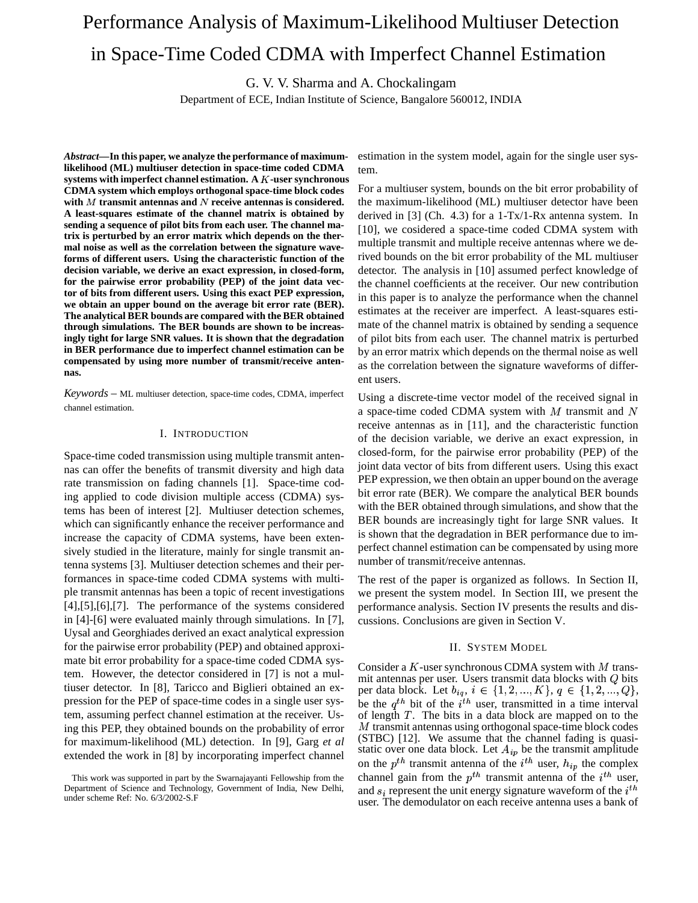# Performance Analysis of Maximum-Likelihood Multiuser Detection in Space-Time Coded CDMA with Imperfect Channel Estimation

G. V. V. Sharma and A. Chockalingam

Department of ECE, Indian Institute of Science, Bangalore 560012, INDIA

*Abstract***—In this paper, we analyze the performance of maximumlikelihood (ML) multiuser detection in space-time coded CDMA systems with imperfect channel estimation. A -user synchronous CDMA system which employs orthogonal space-time block codes** with  $M$  transmit antennas and  $N$  receive antennas is considered. **A least-squares estimate of the channel matrix is obtained by sending a sequence of pilot bits from each user. The channel matrix is perturbed by an error matrix which depends on the thermal noise as well as the correlation between the signature waveforms of different users. Using the characteristic function of the decision variable, we derive an exact expression, in closed-form, for the pairwise error probability (PEP) of the joint data vector of bits from different users. Using this exact PEP expression, we obtain an upper bound on the average bit error rate (BER). The analytical BER bounds are compared with the BER obtained through simulations. The BER bounds are shown to be increasingly tight for large SNR values. It is shown that the degradation in BER performance due to imperfect channel estimation can be compensated by using more number of transmit/receive antennas.**

*Keywords* – ML multiuser detection, space-time codes, CDMA, imperfect channel estimation.

# I. INTRODUCTION

Space-time coded transmission using multiple transmit antennas can offer the benefits of transmit diversity and high data rate transmission on fading channels [1]. Space-time coding applied to code division multiple access (CDMA) systems has been of interest [2]. Multiuser detection schemes, which can significantly enhance the receiver performance and increase the capacity of CDMA systems, have been extensively studied in the literature, mainly for single transmit antenna systems [3]. Multiuser detection schemes and their performances in space-time coded CDMA systems with multiple transmit antennas has been a topic of recent investigations [4],[5],[6],[7]. The performance of the systems considered in [4]-[6] were evaluated mainly through simulations. In [7], Uysal and Georghiades derived an exact analytical expression for the pairwise error probability (PEP) and obtained approximate bit error probability for a space-time coded CDMA system. However, the detector considered in [7] is not a multiuser detector. In [8], Taricco and Biglieri obtained an expression for the PEP of space-time codes in a single user system, assuming perfect channel estimation at the receiver. Using this PEP, they obtained bounds on the probability of error for maximum-likelihood (ML) detection. In [9], Garg *et al* extended the work in [8] by incorporating imperfect channel estimation in the system model, again for the single user system.

For a multiuser system, bounds on the bit error probability of the maximum-likelihood (ML) multiuser detector have been derived in [3] (Ch. 4.3) for a 1-Tx/1-Rx antenna system. In [10], we cosidered a space-time coded CDMA system with multiple transmit and multiple receive antennas where we derived bounds on the bit error probability of the ML multiuser detector. The analysis in [10] assumed perfect knowledge of the channel coefficients at the receiver. Our new contribution in this paper is to analyze the performance when the channel estimates at the receiver are imperfect. A least-squares estimate of the channel matrix is obtained by sending a sequence of pilot bits from each user. The channel matrix is perturbed by an error matrix which depends on the thermal noise as well as the correlation between the signature waveforms of different users.

Using a discrete-time vector model of the received signal in a space-time coded CDMA system with  $M$  transmit and  $N$ receive antennas as in [11], and the characteristic function of the decision variable, we derive an exact expression, in closed-form, for the pairwise error probability (PEP) of the joint data vector of bits from different users. Using this exact PEP expression, we then obtain an upper bound on the average bit error rate (BER). We compare the analytical BER bounds with the BER obtained through simulations, and show that the BER bounds are increasingly tight for large SNR values. It is shown that the degradation in BER performance due to imperfect channel estimation can be compensated by using more number of transmit/receive antennas.

The rest of the paper is organized as follows. In Section II, we present the system model. In Section III, we present the performance analysis. Section IV presents the results and discussions. Conclusions are given in Section V.

## II. SYSTEM MODEL

Consider a  $K$ -user synchronous CDMA system with  $M$  transmit antennas per user. Users transmit data blocks with  $Q$  bits per data block. Let  $b_{iq}, i \in \{1, 2, ..., K\}, q \in \{1, 2, ..., Q\},$ be the  $q^{th}$  bit of the  $i^{th}$  user, transmitted in a time interval of length  $T$ . The bits in a data block are mapped on to the  $M$  transmit antennas using orthogonal space-time block codes (STBC) [12]. We assume that the channel fading is quasistatic over one data block. Let  $A_{ip}$  be the transmit amplitude on the  $p^{th}$  transmit antenna of the  $i^{th}$  user,  $h_{ip}$  the complex channel gain from the  $p<sup>th</sup>$  transmit antenna of the  $i<sup>th</sup>$  user, and  $s_i$  represent the unit energy signature waveform of the  $i^{th}$ user. The demodulator on each receive antenna uses a bank of

This work was supported in part by the Swarnajayanti Fellowship from the Department of Science and Technology, Government of India, New Delhi, under scheme Ref: No. 6/3/2002-S.F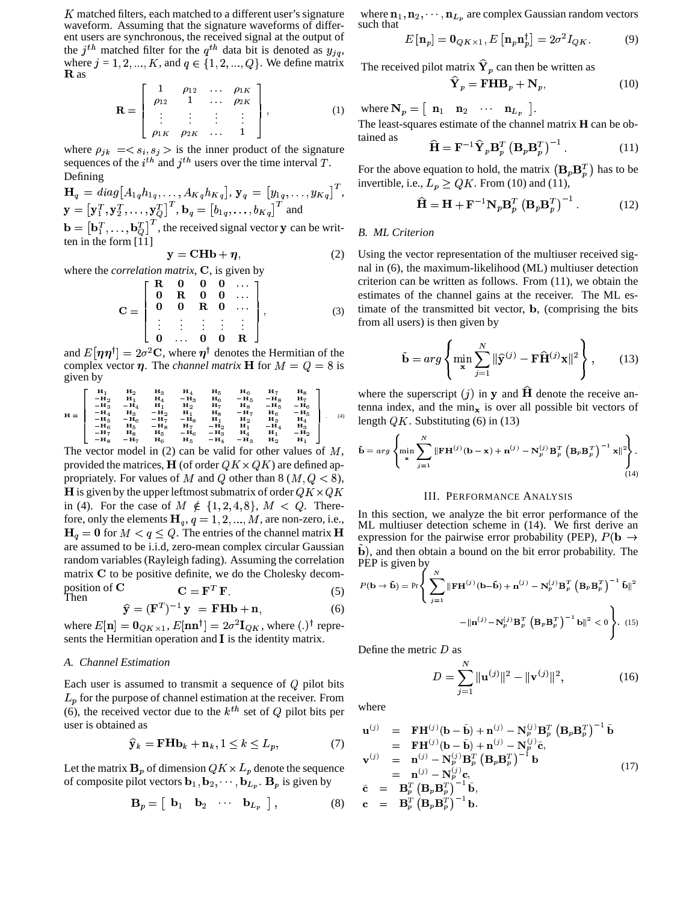K matched filters, each matched to a different user's signature waveform. Assuming that the signature waveforms of different users are synchronous, the received signal at the output of the  $j<sup>th</sup>$  matched filter for the  $q<sup>th</sup>$  data bit is denoted as  $y<sub>ig</sub>$ , where  $j = 1, 2, ..., K$ , and  $q \in \{1, 2, ..., Q\}$ . We define matrix  ${\bf R}$  as

$$
\mathbf{R} = \begin{bmatrix} 1 & \rho_{12} & \dots & \rho_{1K} \\ \rho_{12} & 1 & \dots & \rho_{2K} \\ \vdots & \vdots & \vdots & \vdots \\ \rho_{1K} & \rho_{2K} & \dots & 1 \end{bmatrix},
$$
(1)

where  $\rho_{ik} = \langle s_i, s_j \rangle$  is the inner product of the signature sequences of the  $i<sup>th</sup>$  and  $j<sup>th</sup>$  users over the time interval T. **Defining** 

$$
\mathbf{H}_q = diag[A_{1q}h_{1q}, \dots, A_{Kq}h_{Kq}], \mathbf{y}_q = [y_{1q}, \dots, y_{Kq}]^T,
$$
  
\n
$$
\mathbf{y} = [\mathbf{y}_1^T, \mathbf{y}_2^T, \dots, \mathbf{y}_Q^T]^T, \mathbf{b}_q = [b_{1q}, \dots, b_{Kq}]^T \text{ and}
$$
  
\n
$$
\mathbf{b} = [\mathbf{b}_1^T, \dots, \mathbf{b}_Q^T]^T, \text{ the received signal vector } \mathbf{y} \text{ can be written in the form [11]}
$$

$$
y = \mathbf{C} \mathbf{H} \mathbf{b} + \boldsymbol{\eta}, \tag{2}
$$

where the *correlation matrix*, C, is given by

$$
\mathbf{C} = \left[ \begin{array}{cccccc} \mathbf{R} & \mathbf{0} & \mathbf{0} & \mathbf{0} & \dots \\ \mathbf{0} & \mathbf{R} & \mathbf{0} & \mathbf{0} & \dots \\ \mathbf{0} & \mathbf{0} & \mathbf{R} & \mathbf{0} & \dots \\ \vdots & \vdots & \vdots & \vdots & \vdots \\ \mathbf{0} & \dots & \mathbf{0} & \mathbf{0} & \mathbf{R} \end{array} \right], \tag{3}
$$

and  $E[\eta \eta^{\dagger}] = 2\sigma^2 \mathbf{C}$ , where  $\eta^{\dagger}$  denotes the Hermitian of the complex vector  $\eta$ . The *channel matrix* **H** for  $M = Q = 8$  is given by

$$
H = \left[\begin{array}{ccccc} H_1 & H_2 & H_3 & H_4 & H_5 & H_6 & H_7 & H_8 \\ -H_3 & -H_4 & H_1 & -H_3 & H_6 & -H_5 & -H_8 & H_7 \\ -H_3 & -H_4 & H_1 & H_2 & H_7 & H_8 & -H_5 & -H_6 \\ -H_4 & H_3 & -H_2 & H_1 & H_8 & -H_7 & H_6 & -H_5 \\ -H_5 & -H_6 & -H_7 & -H_8 & H_1 & H_2 & H_3 & H_4 \\ -H_5 & H_5 & -H_8 & H_7 & -H_2 & H_1 & -H_4 & H_3 \\ -H_7 & H_8 & H_5 & -H_6 & -H_3 & H_4 & H_1 & -H_2 \\ -H_7 & H_8 & H_5 & -H_6 & -H_3 & H_4 & H_1 & -H_2 \\ -H_8 & H_5 & -H_6 & -H_4 & H_1 & H_2 & H_1 \end{array}\right] \tag{4}
$$

The vector model in  $(2)$  can be valid for other values of  $M$ , provided the matrices, **H** (of order  $QK \times QK$ ) are defined appropriately. For values of M and Q other than 8 ( $M, Q < 8$ ), **H** is given by the upper leftmost submatrix of order  $QK \times QK$ in (4). For the case of  $M \notin \{1, 2, 4, 8\}, M < Q$ . Therefore, only the elements  $H_q$ ,  $q = 1, 2, ..., M$ , are non-zero, i.e.,  $q = 0$  for  $M < q \leq Q$ . The entries of the channel matrix **H**<br> expression for a are assumed to be i.i.d, zero-mean complex circular Gaussian random variables (Rayleigh fading). Assuming the correlation matrix  $C$  to be positive definite, we do the Cholesky decomposition of  $C$   $C = F^T F$ . position of **C**<br>
Then  $\hat{\mathbf{y}} = (\mathbf{F}^T)^{-1} \mathbf{y} = \mathbf{F} \mathbf{H} \mathbf{b} + \mathbf{n},$  (5)

$$
\widehat{\mathbf{y}} = (\mathbf{F}^T)^{-1} \mathbf{y} = \mathbf{F} \mathbf{H} \mathbf{b} + \mathbf{n}, \tag{6}
$$

where  $E[\mathbf{n}] = \mathbf{0}_{QK \times 1}$ ,  $E[\mathbf{n}\mathbf{n}^{\dagger}] = 2\sigma^2 \mathbf{I}_{QK}$ , where  $(.)^{\dagger}$  represents the Hermitian operation and  $I$  is the identity matrix.

## *A. Channel Estimation*

Each user is assumed to transmit a sequence of  $Q$  pilot bits  $L_p$  for the purpose of channel estimation at the receiver. From (6), the received vector due to the  $k^{th}$  set of  $Q$  pilot bits per user is obtained as

$$
\widehat{\mathbf{y}}_k = \mathbf{F} \mathbf{H} \mathbf{b}_k + \mathbf{n}_k, 1 \le k \le L_p,\tag{7}
$$

Let the matrix  $\mathbf{B}_p$  of dimension  $QK \times L_p$  denote the sequence of composite pilot vectors  $\mathbf{b}_1, \mathbf{b}_2, \cdots, \mathbf{b}_{L_p}$ .  $\mathbf{B}_p$  is given by

$$
\mathbf{B}_p = \begin{bmatrix} \mathbf{b}_1 & \mathbf{b}_2 & \cdots & \mathbf{b}_{L_p} \end{bmatrix},\tag{8}
$$

where  $n_1, n_2, \dots, n_{L_n}$  are complex Gaussian random vectors such that

$$
E\left[\mathbf{n}_p\right] = \mathbf{0}_{QK \times 1}, E\left[\mathbf{n}_p \mathbf{n}_p^\dagger\right] = 2\sigma^2 I_{QK}.\tag{9}
$$

The received pilot matrix  $\hat{\mathbf{Y}}_p$  can then be written as

$$
\widehat{\mathbf{Y}}_p = \mathbf{F} \mathbf{H} \mathbf{B}_p + \mathbf{N}_p, \tag{10}
$$

where  $N_p = \begin{vmatrix} n_1 & n_2 & \cdots & n_{L_p} \end{vmatrix}$ .

The least-squares estimate of the channel matrix **H** can be obtained as  $\hat{\mathbf{v}} = T(\mathbf{v} - \mathbf{v})^{-1}$ 

$$
\hat{\mathbf{H}} = \mathbf{F}^{-1} \hat{\mathbf{Y}}_p \mathbf{B}_p^T \left( \mathbf{B}_p \mathbf{B}_p^T \right)^{-1} . \tag{11}
$$

For the above equation to hold, the matrix  $(\mathbf{B}_p \mathbf{B}_p^T)$  has to be invertible, i.e.,  $L_p \ge QK$ . From (10) and (11),

$$
\widehat{\mathbf{H}} = \mathbf{H} + \mathbf{F}^{-1} \mathbf{N}_p \mathbf{B}_p^T \left( \mathbf{B}_p \mathbf{B}_p^T \right)^{-1} . \tag{12}
$$

# *B. ML Criterion*

Using the vector representation of the multiuser received signal in (6), the maximum-likelihood (ML) multiuser detection criterion can be written as follows. From (11), we obtain the estimates of the channel gains at the receiver. The ML estimate of the transmitted bit vector, <sup>B</sup>, (comprising the bits from all users) is then given by

$$
\tilde{\mathbf{b}} = arg \left\{ \min_{\mathbf{x}} \sum_{j=1}^{N} \|\hat{\mathbf{y}}^{(j)} - \mathbf{F}\hat{\mathbf{H}}^{(j)}\mathbf{x}\|^2 \right\},\qquad(13)
$$

where the superscript  $(j)$  in y and  $\hat{H}$  denote the receive antenna index, and the  $\min_{\mathbf{x}}$  is over all possible bit vectors of length  $QK$ . Substituting (6) in (13) ÀÆ

$$
\tilde{\mathbf{b}} = arg \left\{ \min_{\mathbf{x}} \sum_{j=1}^{N} \|\mathbf{F} \mathbf{H}^{(j)}(\mathbf{b} - \mathbf{x}) + \mathbf{n}^{(j)} - \mathbf{N}_p^{(j)} \mathbf{B}_p^T \left( \mathbf{B}_p \mathbf{B}_p^T \right)^{-1} \mathbf{x} \|^2 \right\}.
$$
\n(14)

### III. PERFORMANCE ANALYSIS

In this section, we analyze the bit error performance of the ML multiuser detection scheme in (14). We first derive an expression for the pairwise error probability (PEP),  $P(\mathbf{b} \rightarrow \mathbf{b})$ b), and then obtain a bound on the bit error probability. The PEP is given by

$$
P(\mathbf{b} \to \tilde{\mathbf{b}}) = \Pr \Bigg\{ \sum_{j=1}^{N} \|\mathbf{F} \mathbf{H}^{(j)}(\mathbf{b} - \tilde{\mathbf{b}}) + \mathbf{n}^{(j)} - \mathbf{N}_p^{(j)} \mathbf{B}_p^T \left( \mathbf{B}_p \mathbf{B}_p^T \right)^{-1} \tilde{\mathbf{b}} \|^2
$$

$$
- \|\mathbf{n}^{(j)} - \mathbf{N}_p^{(j)} \mathbf{B}_p^T \left( \mathbf{B}_p \mathbf{B}_p^T \right)^{-1} \mathbf{b} \|^2 < 0 \Bigg\} . \tag{15}
$$

Define the metric  $D$  as

$$
D = \sum_{j=1}^{N} \|\mathbf{u}^{(j)}\|^2 - \|\mathbf{v}^{(j)}\|^2,
$$
 (16)

where

$$
\mathbf{u}^{(j)} = \mathbf{F} \mathbf{H}^{(j)} (\mathbf{b} - \tilde{\mathbf{b}}) + \mathbf{n}^{(j)} - \mathbf{N}_p^{(j)} \mathbf{B}_p^T (\mathbf{B}_p \mathbf{B}_p^T)^{-1} \tilde{\mathbf{b}}
$$
\n
$$
= \mathbf{F} \mathbf{H}^{(j)} (\mathbf{b} - \tilde{\mathbf{b}}) + \mathbf{n}^{(j)} - \mathbf{N}_p^{(j)} \tilde{\mathbf{c}},
$$
\n
$$
\mathbf{v}^{(j)} = \mathbf{n}^{(j)} - \mathbf{N}_p^{(j)} \mathbf{B}_p^T (\mathbf{B}_p \mathbf{B}_p^T)^{-1} \mathbf{b}
$$
\n
$$
= \mathbf{n}^{(j)} - \mathbf{N}_p^{(j)} \mathbf{c},
$$
\n
$$
\tilde{\mathbf{c}} = \mathbf{B}_p^T (\mathbf{B}_p \mathbf{B}_p^T)^{-1} \tilde{\mathbf{b}},
$$
\n
$$
\mathbf{c} = \mathbf{B}_p^T (\mathbf{B}_p \mathbf{B}_p^T)^{-1} \mathbf{b}.
$$
\n(17)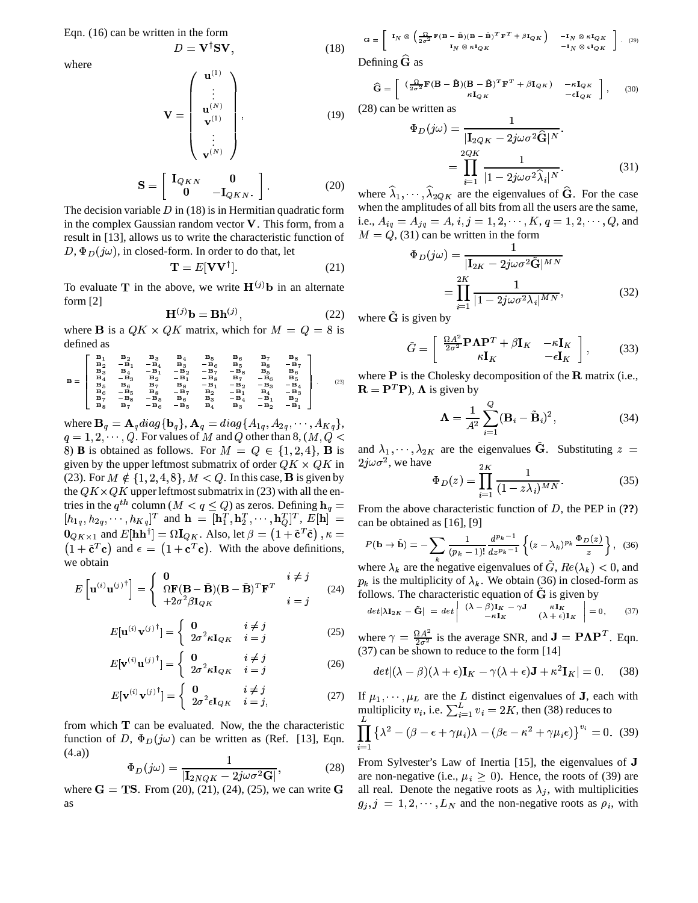Eqn.  $(16)$  can be written in the form

$$
D = {\bf V}^\dagger {\bf S} {\bf V},
$$

$$
\mathbf{V} = \begin{pmatrix} \mathbf{u}^{(1)} \\ \vdots \\ \mathbf{u}^{(N)} \\ \mathbf{v}^{(1)} \\ \vdots \\ \mathbf{v}^{(N)} \end{pmatrix}, \qquad (19)
$$

$$
\mathbf{S} = \begin{bmatrix} \mathbf{I}_{QKN} & \mathbf{0} \\ \mathbf{0} & -\mathbf{I}_{QKN} \end{bmatrix} . \tag{20}
$$

The decision variable  $D$  in (18) is in Hermitian quadratic form in the complex Gaussian random vector V. This form, from a result in [13], allows us to write the characteristic function of  $D, \Phi_D(j\omega)$ , in closed-form. In order to do that, let

$$
\mathbf{T} = E[\mathbf{V}\mathbf{V}^\dagger].\tag{21}
$$

To evaluate T in the above, we write  $H^{(j)}$ b in an alternate form  $[2]$ 

$$
\mathbf{H}^{(j)}\mathbf{b} = \mathbf{B}\mathbf{h}^{(j)},\tag{22}
$$

where **B** is a  $QK \times QK$  matrix, which for  $M = Q = 8$  is defined as

$$
B=\left[\begin{array}{cccccccc} B_1 & B_2 & B_3 & B_4 & B_5 & B_6 & B_7 & B_8\\ B_2 & -B_1 & -B_4 & B_3 & -B_6 & B_5 & B_6 & -B_7\\ B_3 & B_4 & -B_1 & -B_2 & -B_7 & -B_8 & B_5 & B_6\\ B_4 & -B_3 & B_2 & -B_1 & -B_8 & B_7 & -B_6 & B_5\\ B_5 & B_6 & B_7 & B_8 & -B_1 & -B_2 & -B_3 & -B_4\\ B_6 & -B_5 & B_8 & -B_7 & B_2 & -B_1 & B_4 & -B_3 & -B_2\\ B_6 & -B_5 & B_6 & B_3 & -B_4 & -B_1 & B_2 & -B_1 & B_2\\ B_8 & B_7 & -B_6 & -B_5 & B_4 & B_3 & -B_2 & -B_1\end{array}\right] \eqno(23)
$$

where  $\mathbf{B}_q = \mathbf{A}_q diag\{\mathbf{b}_q\}, \mathbf{A}_q = diag\{A_{1q}, A_{2q}, \cdots, A_{Kq}\},\$  $q = 1, 2, \dots, Q$ . For values of M and Q other than 8,  $(M, Q \leq$ 8) **B** is obtained as follows. For  $M = Q \in \{1, 2, 4\}$ , **B** is given by the upper leftmost submatrix of order  $QK \times QK$  in (23). For  $M \notin \{1, 2, 4, 8\}$ ,  $M < Q$ . In this case, **B** is given by the  $QK \times QK$  upper leftmost submatrix in (23) with all the entries in the  $q^{th}$  column  $(M < q \le Q)$  as zeros. Defining  $\mathbf{h}_q = [h_{1q}, h_{2q}, \dots, h_{Kq}]^T$  and  $\mathbf{h} = [\mathbf{h}_1^T, \mathbf{h}_2^T, \dots, \mathbf{h}_Q^T]^T$ ,  $E[\mathbf{h}] =$  $\mathbf{0}_{QK\times 1}$  and  $E[\mathbf{h}\mathbf{h}^{\dagger}]=\Omega\mathbf{I}_{QK}$ . Also, let  $\beta=(1+\tilde{\mathbf{c}}^{T}\tilde{\mathbf{c}})$ ,  $\kappa=$  $(1 + \tilde{c}^T c)$  and  $\epsilon = (1 + c^T c)$ . With the above definitions, we obtain

$$
E\left[\mathbf{u}^{(i)}\mathbf{u}^{(j)\dagger}\right] = \begin{cases} \mathbf{0} & i \neq j \\ \Omega \mathbf{F}(\mathbf{B} - \tilde{\mathbf{B}})(\mathbf{B} - \tilde{\mathbf{B}})^T \mathbf{F}^T & i = j \\ +2\sigma^2 \beta \mathbf{I}_{QK} & i = j \end{cases} \tag{24}
$$

$$
E[\mathbf{u}^{(i)}\mathbf{v}^{(j)\dagger}] = \begin{cases} \mathbf{0} & i \neq j \\ 2\sigma^2 \kappa \mathbf{I}_{QK} & i = j \end{cases} \tag{25}
$$

$$
E[\mathbf{v}^{(i)}\mathbf{u}^{(j)\dagger}] = \begin{cases} \mathbf{0} & i \neq j \\ 2\sigma^2 \kappa \mathbf{I}_{QK} & i = j \end{cases} \tag{26}
$$

$$
E[\mathbf{v}^{(i)}\mathbf{v}^{(j)\dagger}] = \begin{cases} \mathbf{0} & i \neq j \\ 2\sigma^2 \epsilon \mathbf{I}_{QK} & i = j, \end{cases} \tag{27}
$$

from which  $T$  can be evaluated. Now, the the characteristic function of D,  $\Phi_D(j\omega)$  can be written as (Ref. [13], Eqn.  $(4.a)$ 

$$
\Phi_D(j\omega) = \frac{1}{|\mathbf{I}_{2NQK} - 2j\omega\sigma^2\mathbf{G}|},\tag{28}
$$

where  $G = TS$ . From (20), (21), (24), (25), we can write G as

$$
\mathbf{G} = \begin{bmatrix} \mathbf{I}_N \otimes \left( \frac{\Omega}{2\sigma^2} \mathbf{F} (\mathbf{B} - \tilde{\mathbf{B}}) (\mathbf{B} - \tilde{\mathbf{B}})^T \mathbf{F}^T + \beta \mathbf{I}_Q \mathbf{K} \right) & -\mathbf{I}_N \otimes \kappa \mathbf{I}_{QK} \\ \mathbf{I}_N \otimes \kappa \mathbf{I}_{QK} & -\mathbf{I}_N \otimes \epsilon \mathbf{I}_{QK} \end{bmatrix} \quad (29)
$$

Defining  $G$  as

 $(18)$ 

$$
\widehat{\mathbf{G}} = \left[ \begin{array}{cc} (\frac{\Omega}{2\sigma^2} \mathbf{F} (\mathbf{B} - \tilde{\mathbf{B}}) (\mathbf{B} - \tilde{\mathbf{B}})^T \mathbf{F}^T + \beta \mathbf{I}_{QK}) & -\kappa \mathbf{I}_{QK} \\ \kappa \mathbf{I}_{QK} & -\epsilon \mathbf{I}_{QK} \end{array} \right], \qquad (30)
$$

 $(28)$  can be written as

$$
\Phi_D(j\omega) = \frac{1}{|\mathbf{I}_{2QK} - 2j\omega\sigma^2 \widehat{\mathbf{G}}|^N}.
$$

$$
= \prod_{i=1}^{2QK} \frac{1}{|1 - 2j\omega\sigma^2 \widehat{\lambda}_i|^N}.
$$
(31)

where  $\hat{\lambda}_1, \dots, \hat{\lambda}_{2QK}$  are the eigenvalues of  $\hat{G}$ . For the case when the amplitudes of all bits from all the users are the same, i.e.,  $A_{iq} = A_{jq} = A$ ,  $i, j = 1, 2, \dots, K$ ,  $q = 1, 2, \dots, Q$ , and  $M = Q$ , (31) can be written in the form

$$
\Phi_D(j\omega) = \frac{1}{|\mathbf{I}_{2K} - 2j\omega\sigma^2 \tilde{\mathbf{G}}|^{MN}}
$$

$$
= \prod_{i=1}^{2K} \frac{1}{|1 - 2j\omega\sigma^2 \lambda_i|^{MN}},
$$
(32)

where  $\tilde{G}$  is given by

$$
\tilde{G} = \begin{bmatrix} \frac{\Omega A^2}{2\sigma^2} \mathbf{P} \mathbf{\Lambda} \mathbf{P}^T + \beta \mathbf{I}_K & -\kappa \mathbf{I}_K \\ \kappa \mathbf{I}_K & -\epsilon \mathbf{I}_K \end{bmatrix},\tag{33}
$$

where  $P$  is the Cholesky decomposition of the  $R$  matrix (i.e.,  $\mathbf{R} = \mathbf{P}^T \mathbf{P}$ ),  $\mathbf{\Lambda}$  is given by

$$
\mathbf{\Lambda} = \frac{1}{A^2} \sum_{i=1}^{Q} (\mathbf{B}_i - \tilde{\mathbf{B}}_i)^2, \tag{34}
$$

and  $\lambda_1, \dots, \lambda_{2K}$  are the eigenvalues  $\tilde{G}$ . Substituting  $z =$  $2j\omega\sigma^2$ , we have

$$
\Phi_D(z) = \prod_{i=1}^{2K} \frac{1}{(1 - z\lambda_i)^{MN}}.
$$
\n(35)

From the above characteristic function of  $D$ , the PEP in  $(?)$ can be obtained as  $[16]$ ,  $[9]$ 

$$
P(\mathbf{b} \to \tilde{\mathbf{b}}) = -\sum_{k} \frac{1}{(p_k - 1)!} \frac{d^{p_k - 1}}{dz^{p_k - 1}} \left\{ (z - \lambda_k)^{p_k} \frac{\Phi_D(z)}{z} \right\}, \tag{36}
$$

where  $\lambda_k$  are the negative eigenvalues of G,  $Re(\lambda_k)$  < 0, and  $p_k$  is the multiplicity of  $\lambda_k$ . We obtain (36) in closed-form as follows. The characteristic equation of  $G$  is given by

$$
det|\lambda \mathbf{I}_{2K} - \tilde{\mathbf{G}}| = det \begin{vmatrix} (\lambda - \beta)\mathbf{I}_K - \gamma \mathbf{J} & \kappa \mathbf{I}_K \\ -\kappa \mathbf{I}_K & (\lambda + \epsilon)\mathbf{I}_K \end{vmatrix} = 0, \qquad (37)
$$

where  $\gamma = \frac{\Omega A^2}{2\sigma^2}$  is the average SNR, and  $\mathbf{J} = \mathbf{P}\mathbf{\Lambda}\mathbf{P}^T$ . Eqn. (37) can be shown to reduce to the form [14]

$$
det|(\lambda - \beta)(\lambda + \epsilon)\mathbf{I}_K - \gamma(\lambda + \epsilon)\mathbf{J} + \kappa^2 \mathbf{I}_K| = 0.
$$
 (38)

If  $\mu_1, \dots, \mu_L$  are the L distinct eigenvalues of **J**, each with multiplicity  $v_i$ , i.e.  $\sum_{i=1}^{L} v_i = 2K$ , then (38) reduces to

$$
\prod_{i=1}^{L} \left\{ \lambda^2 - (\beta - \epsilon + \gamma \mu_i) \lambda - (\beta \epsilon - \kappa^2 + \gamma \mu_i \epsilon) \right\}^{v_i} = 0. \tag{39}
$$

From Sylvester's Law of Inertia [15], the eigenvalues of J are non-negative (i.e.,  $\mu_i \geq 0$ ). Hence, the roots of (39) are all real. Denote the negative roots as  $\lambda_j$ , with multiplicities  $g_j$ ,  $j = 1, 2, \dots, L_N$  and the non-negative roots as  $\rho_i$ , with

where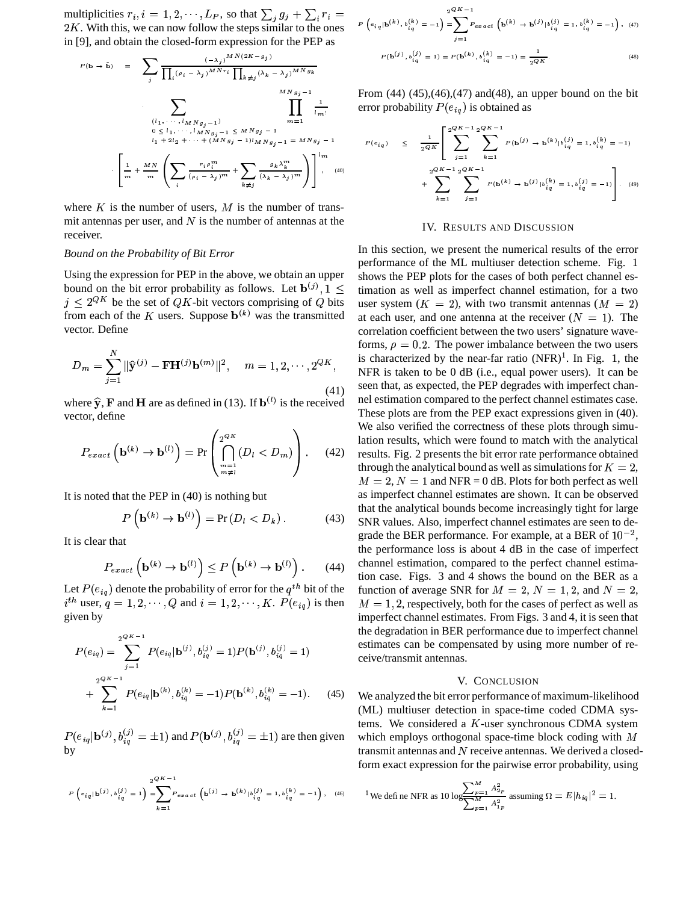multiplicities  $r_i$ ,  $i = 1, 2, \dots, L_P$ , so that  $\sum_j g_j + \sum_i r_i =$  $2K$ . With this, we can now follow the steps similar to the ones in [9], and obtain the closed-form expression for the PEP as

$$
P(\mathbf{b} \to \mathbf{\tilde{b}}) = \sum_{j} \frac{(-\lambda_{j})^{MN} (2K - g_{j})}{\prod_{i} (\rho_{i} - \lambda_{j})^{MNr_{i}} \prod_{k \neq j} (\lambda_{k} - \lambda_{j})^{MNg_{k}}}
$$
\n
$$
\sum_{\substack{(l_{1}, \dots, l_{MN}g_{j}-1) \\ 0 \le l_{1}, \dots, l_{MN}g_{j}-1}} \prod_{m=1}^{MNg_{j}-1} \frac{1}{l_{m}!}
$$
\n
$$
l_{1} + 2l_{2} + \dots + (MNg_{j} - 1)l_{MN}g_{j} - 1 = MNg_{j} - 1
$$
\n
$$
\left[ \frac{1}{m} + \frac{MN}{m} \left( \sum_{i} \frac{r_{i} \rho_{i}^{m}}{(\rho_{i} - \lambda_{j})^{m}} + \sum_{k \neq j} \frac{g_{k} \lambda_{k}^{m}}{(\lambda_{k} - \lambda_{j})^{m}} \right) \right]^{l_{m}} \tag{40}
$$

where  $K$  is the number of users,  $M$  is the number of transmit antennas per user, and  $N$  is the number of antennas at the receiver.

## Bound on the Probability of Bit Error

Using the expression for PEP in the above, we obtain an upper bound on the bit error probability as follows. Let  $\mathbf{b}^{(j)}$ ,  $1 \leq$  $j \leq 2^{QK}$  be the set of  $QK$ -bit vectors comprising of Q bits from each of the K users. Suppose  $\mathbf{b}^{(k)}$  was the transmitted vector. Define

$$
D_m = \sum_{j=1}^{N} \|\widehat{\mathbf{y}}^{(j)} - \mathbf{FH}^{(j)}\mathbf{b}^{(m)}\|^2, \quad m = 1, 2, \cdots, 2^{QK},
$$
\n(41)

where  $\hat{y}$ , **F** and **H** are as defined in (13). If  $b^{(l)}$  is the received vector, define

$$
P_{exact}\left(\mathbf{b}^{(k)} \to \mathbf{b}^{(l)}\right) = \Pr\left(\bigcap_{\substack{m=1 \ m \neq l}}^{2^{QK}} (D_l < D_m)\right). \tag{42}
$$

It is noted that the PEP in  $(40)$  is nothing but

$$
P\left(\mathbf{b}^{(k)} \to \mathbf{b}^{(l)}\right) = \Pr\left(D_l < D_k\right). \tag{43}
$$

It is clear that

$$
P_{exact}\left(\mathbf{b}^{(k)} \to \mathbf{b}^{(l)}\right) \le P\left(\mathbf{b}^{(k)} \to \mathbf{b}^{(l)}\right). \tag{44}
$$

Let  $P(e_{iq})$  denote the probability of error for the  $q^{th}$  bit of the  $i^{th}$  user,  $q = 1, 2, \dots, Q$  and  $i = 1, 2, \dots, K$ .  $P(e_{ia})$  is then given by

$$
P(e_{iq}) = \sum_{j=1}^{2^{QK}-1} P(e_{iq}|\mathbf{b}^{(j)}, b_{iq}^{(j)} = 1)P(\mathbf{b}^{(j)}, b_{iq}^{(j)} = 1)
$$
  
+ 
$$
\sum_{k=1}^{2^{QK}-1} P(e_{iq}|\mathbf{b}^{(k)}, b_{iq}^{(k)} = -1)P(\mathbf{b}^{(k)}, b_{iq}^{(k)} = -1).
$$
 (45)

 $P(e_{iq} | \mathbf{b}^{(j)}, b_{iq}^{(j)} = \pm 1)$  and  $P(\mathbf{b}^{(j)}, b_{iq}^{(j)} = \pm 1)$  are then given

$$
P\left(e_{iq}| \mathbf{b}^{(j)}, b_{iq}^{(j)} = 1\right) = \sum_{k=1}^{2^k} P_{exact}\left(\mathbf{b}^{(j)} \to \mathbf{b}^{(k)} | b_{iq}^{(j)} = 1, b_{iq}^{(k)} = -1\right), \quad (46)
$$

$$
P\left(e_{iq}|\mathbf{b}^{(k)}, b_{iq}^{(k)} = -1\right) = \sum_{j=1}^{2QK-1} P_{\epsilon x \, act} \left(\mathbf{b}^{(k)} \to \mathbf{b}^{(j)} | b_{iq}^{(j)} = 1, b_{iq}^{(k)} = -1\right), \tag{47}
$$
\n
$$
P(\mathbf{b}^{(j)}, b_{iq}^{(j)} = 1) = P(\mathbf{b}^{(k)}, b_{iq}^{(k)} = -1) = \frac{1}{2QK}.
$$
\n(48)

From  $(44)$   $(45)$ , $(46)$ , $(47)$  and $(48)$ , an upper bound on the bit error probability  $P(e_{ia})$  is obtained as

$$
P(e_{iq}) \leq \frac{1}{2QK} \left[ \sum_{j=1}^{2QK-1} \sum_{k=1}^{2QK-1} P(\mathbf{b}^{(j)} \to \mathbf{b}^{(k)} | b_{iq}^{(j)} = 1, b_{iq}^{(k)} = -1) + \sum_{k=1}^{2QK-1} \sum_{j=1}^{2QK-1} P(\mathbf{b}^{(k)} \to \mathbf{b}^{(j)} | b_{iq}^{(k)} = 1, b_{iq}^{(j)} = -1) \right]
$$
(49)

#### IV. RESULTS AND DISCUSSION

In this section, we present the numerical results of the error performance of the ML multiuser detection scheme. Fig. 1 shows the PEP plots for the cases of both perfect channel estimation as well as imperfect channel estimation, for a two user system  $(K = 2)$ , with two transmit antennas  $(M = 2)$ at each user, and one antenna at the receiver  $(N = 1)$ . The correlation coefficient between the two users' signature waveforms,  $\rho = 0.2$ . The power imbalance between the two users is characterized by the near-far ratio  $(NFR)^{1}$ . In Fig. 1, the NFR is taken to be 0 dB (i.e., equal power users). It can be seen that, as expected, the PEP degrades with imperfect channel estimation compared to the perfect channel estimates case. These plots are from the PEP exact expressions given in (40). We also verified the correctness of these plots through simulation results, which were found to match with the analytical results. Fig. 2 presents the bit error rate performance obtained through the analytical bound as well as simulations for  $K = 2$ ,  $M = 2$ ,  $N = 1$  and NFR = 0 dB. Plots for both perfect as well as imperfect channel estimates are shown. It can be observed that the analytical bounds become increasingly tight for large SNR values. Also, imperfect channel estimates are seen to degrade the BER performance. For example, at a BER of  $10^{-2}$ , the performance loss is about 4 dB in the case of imperfect channel estimation, compared to the perfect channel estimation case. Figs. 3 and 4 shows the bound on the BER as a function of average SNR for  $M = 2$ ,  $N = 1, 2$ , and  $N = 2$ ,  $M = 1, 2$ , respectively, both for the cases of perfect as well as imperfect channel estimates. From Figs. 3 and 4, it is seen that the degradation in BER performance due to imperfect channel estimates can be compensated by using more number of receive/transmit antennas.

#### V. CONCLUSION

We analyzed the bit error performance of maximum-likelihood (ML) multiuser detection in space-time coded CDMA systems. We considered a  $K$ -user synchronous CDMA system which employs orthogonal space-time block coding with  $M$ transmit antennas and  $N$  receive antennas. We derived a closedform exact expression for the pairwise error probability, using

<sup>1</sup>We defi ne NFR as 10
$$
\log \frac{\sum_{p=1}^{M} A_{2p}^2}{\sum_{p=1}^{M} A_{1p}^2}
$$
 assuming  $\Omega = E |h_{iq}|^2 = 1$ .